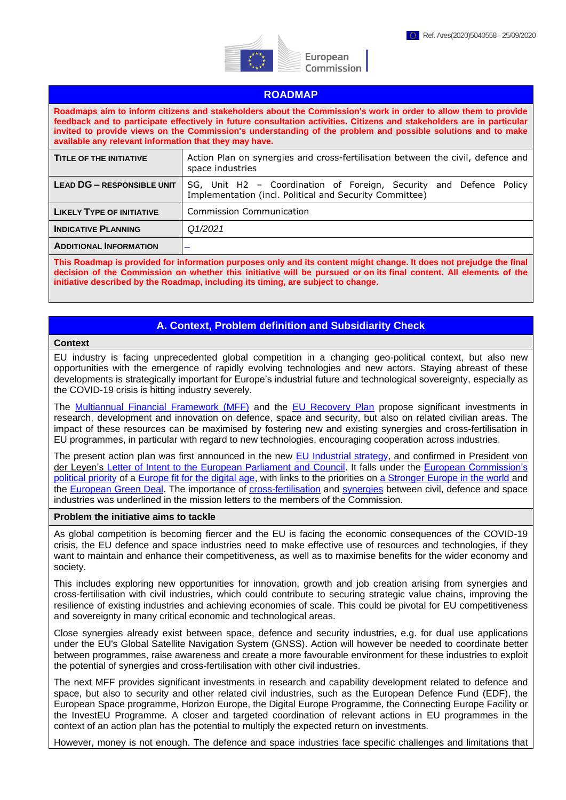

European Commission

### **ROADMAP**

**Roadmaps aim to inform citizens and stakeholders about the Commission's work in order to allow them to provide feedback and to participate effectively in future consultation activities. Citizens and stakeholders are in particular invited to provide views on the Commission's understanding of the problem and possible solutions and to make available any relevant information that they may have.** 

| <b>TITLE OF THE INITIATIVE</b>    | Action Plan on synergies and cross-fertilisation between the civil, defence and<br>space industries                           |
|-----------------------------------|-------------------------------------------------------------------------------------------------------------------------------|
| <b>LEAD DG - RESPONSIBLE UNIT</b> | SG, Unit H2 - Coordination of Foreign, Security and Defence Policy<br>Implementation (incl. Political and Security Committee) |
| <b>LIKELY TYPE OF INITIATIVE</b>  | <b>Commission Communication</b>                                                                                               |
| <b>INDICATIVE PLANNING</b>        | Q1/2021                                                                                                                       |
| <b>ADDITIONAL INFORMATION</b>     |                                                                                                                               |

**This Roadmap is provided for information purposes only and its content might change. It does not prejudge the final decision of the Commission on whether this initiative will be pursued or on its final content. All elements of the initiative described by the Roadmap, including its timing, are subject to change.**

# **A. Context, Problem definition and Subsidiarity Check**

#### **Context**

EU industry is facing unprecedented global competition in a changing geo-political context, but also new opportunities with the emergence of rapidly evolving technologies and new actors. Staying abreast of these developments is strategically important for Europe's industrial future and technological sovereignty, especially as the COVID-19 crisis is hitting industry severely.

The [Multiannual Financial Framework](https://eur-lex.europa.eu/legal-content/EN/TXT/?uri=COM:2020:442:FIN) (MFF) and the [EU Recovery Plan](https://eur-lex.europa.eu/legal-content/EN/TXT/?uri=COM:2020:456:FIN) propose significant investments in research, development and innovation on defence, space and security, but also on related civilian areas. The impact of these resources can be maximised by fostering new and existing synergies and cross-fertilisation in EU programmes, in particular with regard to new technologies, encouraging cooperation across industries.

The present action plan was first announced in the new [EU Industrial strategy,](https://ec.europa.eu/info/sites/info/files/communication-eu-industrial-strategy-march-2020_en.pdf) and confirmed in President von der Leyen's [Letter of Intent to the European Parliament and Council.](https://ec.europa.eu/info/sites/info/files/state_of_the_union_2020_letter_of_intent_en.pdf) It falls under the [European Commission's](https://ec.europa.eu/info/sites/info/files/political-guidelines-next-commission_en_0.pdf)  [political priority](https://ec.europa.eu/info/sites/info/files/political-guidelines-next-commission_en_0.pdf) of a [Europe fit for the digital age,](https://ec.europa.eu/info/strategy/priorities-2019-2024/europe-fit-digital-age_en) with links to the priorities on [a Stronger Europe in the world](https://ec.europa.eu/info/strategy/priorities-2019-2024/stronger-europe-world_en) and the [European Green Deal.](https://ec.europa.eu/info/strategy/priorities-2019-2024/european-green-deal_en) The importance of [cross-fertilisation](https://ec.europa.eu/commission/sites/beta-political/files/mission-letter-margrethe-vestager_2019_en.pdf) and [synergies](https://ec.europa.eu/commission/commissioners/sites/comm-cwt2019/files/commissioner_mission_letters/president-elect_von_der_leyens_mission_letter_to_thierry_breton.pdf) between civil, defence and space industries was underlined in the mission letters to the members of the Commission.

#### **Problem the initiative aims to tackle**

As global competition is becoming fiercer and the EU is facing the economic consequences of the COVID-19 crisis, the EU defence and space industries need to make effective use of resources and technologies, if they want to maintain and enhance their competitiveness, as well as to maximise benefits for the wider economy and society.

This includes exploring new opportunities for innovation, growth and job creation arising from synergies and cross-fertilisation with civil industries, which could contribute to securing strategic value chains, improving the resilience of existing industries and achieving economies of scale. This could be pivotal for EU competitiveness and sovereignty in many critical economic and technological areas.

Close synergies already exist between space, defence and security industries, e.g. for dual use applications under the EU's Global Satellite Navigation System (GNSS). Action will however be needed to coordinate better between programmes, raise awareness and create a more favourable environment for these industries to exploit the potential of synergies and cross-fertilisation with other civil industries.

The next MFF provides significant investments in research and capability development related to defence and space, but also to security and other related civil industries, such as the European Defence Fund (EDF), the European Space programme, Horizon Europe, the Digital Europe Programme, the Connecting Europe Facility or the InvestEU Programme. A closer and targeted coordination of relevant actions in EU programmes in the context of an action plan has the potential to multiply the expected return on investments.

However, money is not enough. The defence and space industries face specific challenges and limitations that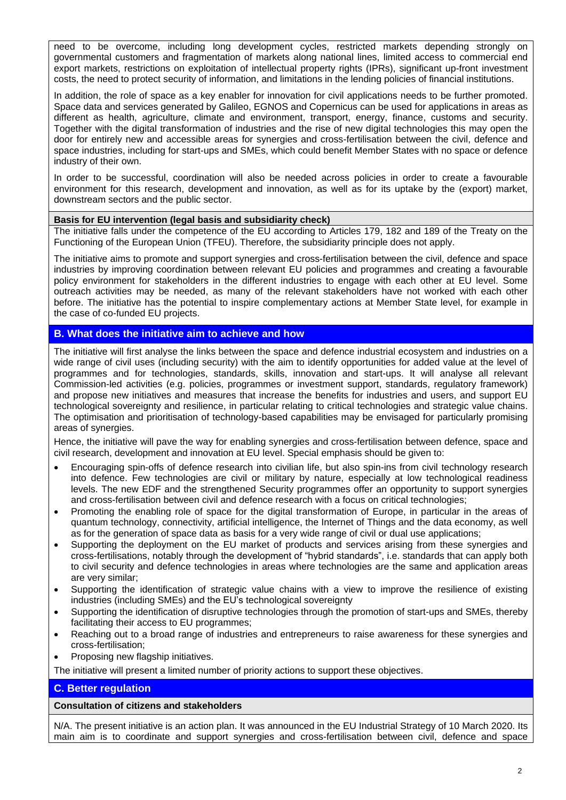need to be overcome, including long development cycles, restricted markets depending strongly on governmental customers and fragmentation of markets along national lines, limited access to commercial end export markets, restrictions on exploitation of intellectual property rights (IPRs), significant up-front investment costs, the need to protect security of information, and limitations in the lending policies of financial institutions.

In addition, the role of space as a key enabler for innovation for civil applications needs to be further promoted. Space data and services generated by Galileo, EGNOS and Copernicus can be used for applications in areas as different as health, agriculture, climate and environment, transport, energy, finance, customs and security. Together with the digital transformation of industries and the rise of new digital technologies this may open the door for entirely new and accessible areas for synergies and cross-fertilisation between the civil, defence and space industries, including for start-ups and SMEs, which could benefit Member States with no space or defence industry of their own.

In order to be successful, coordination will also be needed across policies in order to create a favourable environment for this research, development and innovation, as well as for its uptake by the (export) market, downstream sectors and the public sector.

### **Basis for EU intervention (legal basis and subsidiarity check)**

The initiative falls under the competence of the EU according to Articles 179, 182 and 189 of the Treaty on the Functioning of the European Union (TFEU). Therefore, the subsidiarity principle does not apply.

The initiative aims to promote and support synergies and cross-fertilisation between the civil, defence and space industries by improving coordination between relevant EU policies and programmes and creating a favourable policy environment for stakeholders in the different industries to engage with each other at EU level. Some outreach activities may be needed, as many of the relevant stakeholders have not worked with each other before. The initiative has the potential to inspire complementary actions at Member State level, for example in the case of co-funded EU projects.

# **B. What does the initiative aim to achieve and how**

The initiative will first analyse the links between the space and defence industrial ecosystem and industries on a wide range of civil uses (including security) with the aim to identify opportunities for added value at the level of programmes and for technologies, standards, skills, innovation and start-ups. It will analyse all relevant Commission-led activities (e.g. policies, programmes or investment support, standards, regulatory framework) and propose new initiatives and measures that increase the benefits for industries and users, and support EU technological sovereignty and resilience, in particular relating to critical technologies and strategic value chains. The optimisation and prioritisation of technology-based capabilities may be envisaged for particularly promising areas of synergies.

Hence, the initiative will pave the way for enabling synergies and cross-fertilisation between defence, space and civil research, development and innovation at EU level. Special emphasis should be given to:

- Encouraging spin-offs of defence research into civilian life, but also spin-ins from civil technology research into defence. Few technologies are civil or military by nature, especially at low technological readiness levels. The new EDF and the strengthened Security programmes offer an opportunity to support synergies and cross-fertilisation between civil and defence research with a focus on critical technologies;
- Promoting the enabling role of space for the digital transformation of Europe, in particular in the areas of quantum technology, connectivity, artificial intelligence, the Internet of Things and the data economy, as well as for the generation of space data as basis for a very wide range of civil or dual use applications;
- Supporting the deployment on the EU market of products and services arising from these synergies and cross-fertilisations, notably through the development of "hybrid standards", i.e. standards that can apply both to civil security and defence technologies in areas where technologies are the same and application areas are very similar;
- Supporting the identification of strategic value chains with a view to improve the resilience of existing industries (including SMEs) and the EU's technological sovereignty
- Supporting the identification of disruptive technologies through the promotion of start-ups and SMEs, thereby facilitating their access to EU programmes;
- Reaching out to a broad range of industries and entrepreneurs to raise awareness for these synergies and cross-fertilisation;
- Proposing new flagship initiatives.

The initiative will present a limited number of priority actions to support these objectives.

# **C. Better regulation**

## **Consultation of citizens and stakeholders**

N/A. The present initiative is an action plan. It was announced in the EU Industrial Strategy of 10 March 2020. Its main aim is to coordinate and support synergies and cross-fertilisation between civil, defence and space